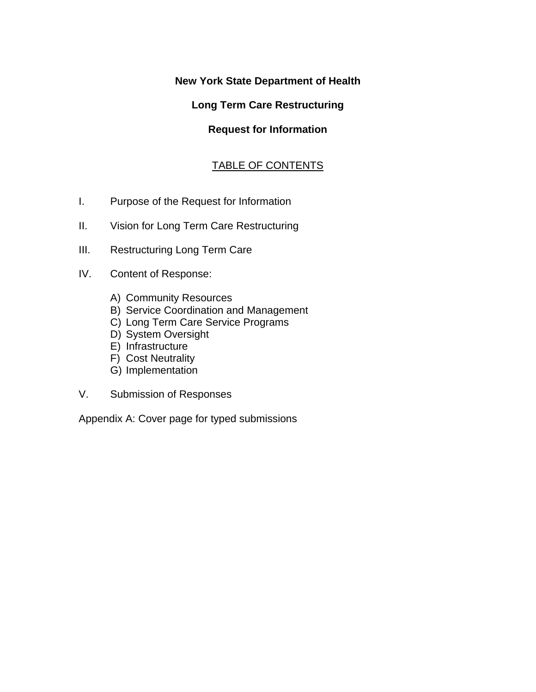# **New York State Department of Health**

# **Long Term Care Restructuring**

# **Request for Information**

# TABLE OF CONTENTS

- I. Purpose of the Request for Information
- II. Vision for Long Term Care Restructuring
- III. Restructuring Long Term Care
- IV. Content of Response:
	- A) Community Resources
	- B) Service Coordination and Management
	- C) Long Term Care Service Programs
	- D) System Oversight
	- E) Infrastructure
	- F) Cost Neutrality
	- G) Implementation
- V. Submission of Responses

Appendix A: Cover page for typed submissions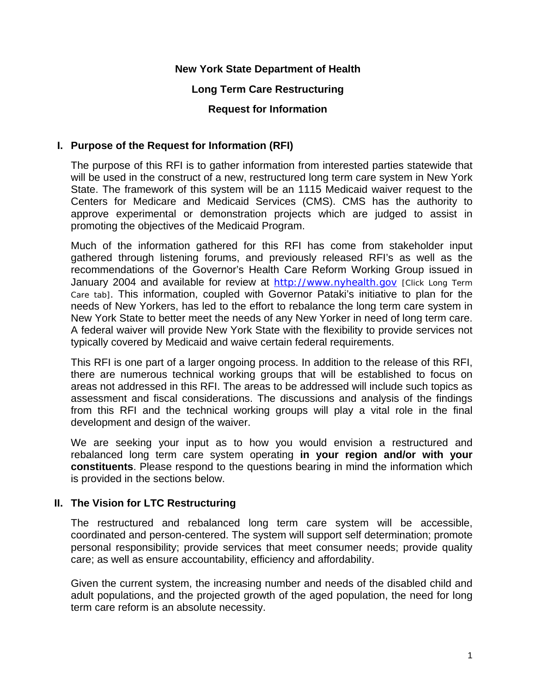## **New York State Department of Health**

## **Long Term Care Restructuring**

### **Request for Information**

## **I. Purpose of the Request for Information (RFI)**

The purpose of this RFI is to gather information from interested parties statewide that will be used in the construct of a new, restructured long term care system in New York State. The framework of this system will be an 1115 Medicaid waiver request to the Centers for Medicare and Medicaid Services (CMS). CMS has the authority to approve experimental or demonstration projects which are judged to assist in promoting the objectives of the Medicaid Program.

Much of the information gathered for this RFI has come from stakeholder input gathered through listening forums, and previously released RFI's as well as the recommendations of the Governor's Health Care Reform Working Group issued in January 2004 and available for review at [http://www.nyhealth.gov](http://www.nyhealth.gov/) [Click Long Term Care tab]. This information, coupled with Governor Pataki's initiative to plan for the needs of New Yorkers, has led to the effort to rebalance the long term care system in New York State to better meet the needs of any New Yorker in need of long term care. A federal waiver will provide New York State with the flexibility to provide services not typically covered by Medicaid and waive certain federal requirements.

This RFI is one part of a larger ongoing process. In addition to the release of this RFI, there are numerous technical working groups that will be established to focus on areas not addressed in this RFI. The areas to be addressed will include such topics as assessment and fiscal considerations. The discussions and analysis of the findings from this RFI and the technical working groups will play a vital role in the final development and design of the waiver.

We are seeking your input as to how you would envision a restructured and rebalanced long term care system operating **in your region and/or with your constituents**. Please respond to the questions bearing in mind the information which is provided in the sections below.

### **II. The Vision for LTC Restructuring**

The restructured and rebalanced long term care system will be accessible, coordinated and person-centered. The system will support self determination; promote personal responsibility; provide services that meet consumer needs; provide quality care; as well as ensure accountability, efficiency and affordability.

Given the current system, the increasing number and needs of the disabled child and adult populations, and the projected growth of the aged population, the need for long term care reform is an absolute necessity.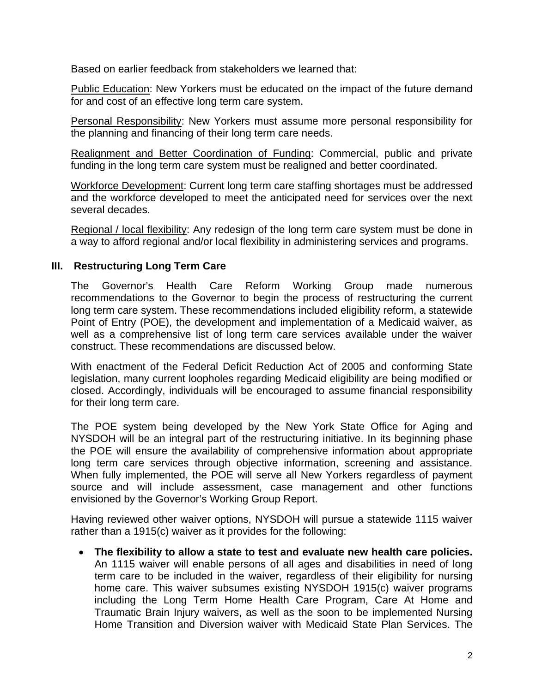Based on earlier feedback from stakeholders we learned that:

Public Education: New Yorkers must be educated on the impact of the future demand for and cost of an effective long term care system.

Personal Responsibility: New Yorkers must assume more personal responsibility for the planning and financing of their long term care needs.

Realignment and Better Coordination of Funding: Commercial, public and private funding in the long term care system must be realigned and better coordinated.

Workforce Development: Current long term care staffing shortages must be addressed and the workforce developed to meet the anticipated need for services over the next several decades.

Regional / local flexibility: Any redesign of the long term care system must be done in a way to afford regional and/or local flexibility in administering services and programs.

## **III. Restructuring Long Term Care**

The Governor's Health Care Reform Working Group made numerous recommendations to the Governor to begin the process of restructuring the current long term care system. These recommendations included eligibility reform, a statewide Point of Entry (POE), the development and implementation of a Medicaid waiver, as well as a comprehensive list of long term care services available under the waiver construct. These recommendations are discussed below.

With enactment of the Federal Deficit Reduction Act of 2005 and conforming State legislation, many current loopholes regarding Medicaid eligibility are being modified or closed. Accordingly, individuals will be encouraged to assume financial responsibility for their long term care.

The POE system being developed by the New York State Office for Aging and NYSDOH will be an integral part of the restructuring initiative. In its beginning phase the POE will ensure the availability of comprehensive information about appropriate long term care services through objective information, screening and assistance. When fully implemented, the POE will serve all New Yorkers regardless of payment source and will include assessment, case management and other functions envisioned by the Governor's Working Group Report.

Having reviewed other waiver options, NYSDOH will pursue a statewide 1115 waiver rather than a 1915(c) waiver as it provides for the following:

• **The flexibility to allow a state to test and evaluate new health care policies.** An 1115 waiver will enable persons of all ages and disabilities in need of long term care to be included in the waiver, regardless of their eligibility for nursing home care. This waiver subsumes existing NYSDOH 1915(c) waiver programs including the Long Term Home Health Care Program, Care At Home and Traumatic Brain Injury waivers, as well as the soon to be implemented Nursing Home Transition and Diversion waiver with Medicaid State Plan Services. The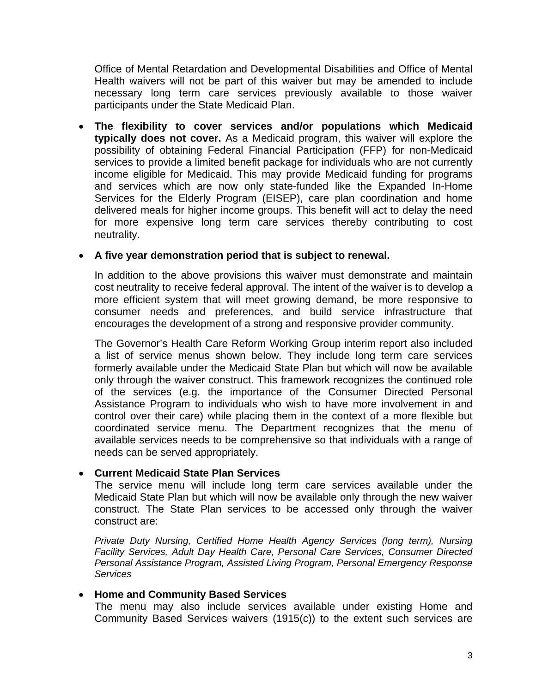Office of Mental Retardation and Developmental Disabilities and Office of Mental Health waivers will not be part of this waiver but may be amended to include necessary long term care services previously available to those waiver participants under the State Medicaid Plan.

• **The flexibility to cover services and/or populations which Medicaid typically does not cover.** As a Medicaid program, this waiver will explore the possibility of obtaining Federal Financial Participation (FFP) for non-Medicaid services to provide a limited benefit package for individuals who are not currently income eligible for Medicaid. This may provide Medicaid funding for programs and services which are now only state-funded like the Expanded In-Home Services for the Elderly Program (EISEP), care plan coordination and home delivered meals for higher income groups. This benefit will act to delay the need for more expensive long term care services thereby contributing to cost neutrality.

### • **A five year demonstration period that is subject to renewal.**

In addition to the above provisions this waiver must demonstrate and maintain cost neutrality to receive federal approval. The intent of the waiver is to develop a more efficient system that will meet growing demand, be more responsive to consumer needs and preferences, and build service infrastructure that encourages the development of a strong and responsive provider community.

The Governor's Health Care Reform Working Group interim report also included a list of service menus shown below. They include long term care services formerly available under the Medicaid State Plan but which will now be available only through the waiver construct. This framework recognizes the continued role of the services (e.g. the importance of the Consumer Directed Personal Assistance Program to individuals who wish to have more involvement in and control over their care) while placing them in the context of a more flexible but coordinated service menu. The Department recognizes that the menu of available services needs to be comprehensive so that individuals with a range of needs can be served appropriately.

#### • **Current Medicaid State Plan Services**

The service menu will include long term care services available under the Medicaid State Plan but which will now be available only through the new waiver construct. The State Plan services to be accessed only through the waiver construct are:

*Private Duty Nursing, Certified Home Health Agency Services (long term), Nursing Facility Services, Adult Day Health Care, Personal Care Services, Consumer Directed Personal Assistance Program, Assisted Living Program, Personal Emergency Response Services* 

#### • **Home and Community Based Services**

The menu may also include services available under existing Home and Community Based Services waivers (1915(c)) to the extent such services are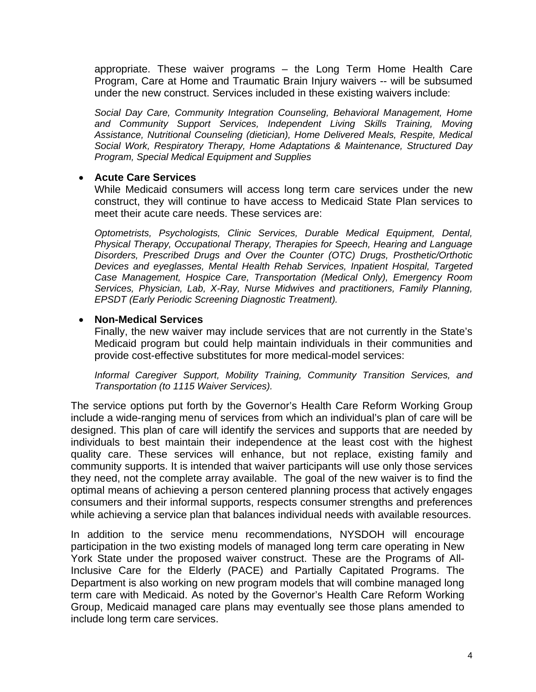appropriate. These waiver programs – the Long Term Home Health Care Program, Care at Home and Traumatic Brain Injury waivers -- will be subsumed under the new construct. Services included in these existing waivers include:

*Social Day Care, Community Integration Counseling, Behavioral Management, Home and Community Support Services, Independent Living Skills Training, Moving Assistance, Nutritional Counseling (dietician), Home Delivered Meals, Respite, Medical Social Work, Respiratory Therapy, Home Adaptations & Maintenance, Structured Day Program, Special Medical Equipment and Supplies* 

#### • **Acute Care Services**

While Medicaid consumers will access long term care services under the new construct, they will continue to have access to Medicaid State Plan services to meet their acute care needs. These services are:

*Optometrists, Psychologists, Clinic Services, Durable Medical Equipment, Dental, Physical Therapy, Occupational Therapy, Therapies for Speech, Hearing and Language Disorders, Prescribed Drugs and Over the Counter (OTC) Drugs, Prosthetic/Orthotic Devices and eyeglasses, Mental Health Rehab Services, Inpatient Hospital, Targeted Case Management, Hospice Care, Transportation (Medical Only), Emergency Room Services, Physician, Lab, X-Ray, Nurse Midwives and practitioners, Family Planning, EPSDT (Early Periodic Screening Diagnostic Treatment).* 

#### • **Non-Medical Services**

Finally, the new waiver may include services that are not currently in the State's Medicaid program but could help maintain individuals in their communities and provide cost-effective substitutes for more medical-model services:

*Informal Caregiver Support, Mobility Training, Community Transition Services, and Transportation (to 1115 Waiver Services).* 

The service options put forth by the Governor's Health Care Reform Working Group include a wide-ranging menu of services from which an individual's plan of care will be designed. This plan of care will identify the services and supports that are needed by individuals to best maintain their independence at the least cost with the highest quality care. These services will enhance, but not replace, existing family and community supports. It is intended that waiver participants will use only those services they need, not the complete array available. The goal of the new waiver is to find the optimal means of achieving a person centered planning process that actively engages consumers and their informal supports, respects consumer strengths and preferences while achieving a service plan that balances individual needs with available resources.

In addition to the service menu recommendations, NYSDOH will encourage participation in the two existing models of managed long term care operating in New York State under the proposed waiver construct. These are the Programs of All-Inclusive Care for the Elderly (PACE) and Partially Capitated Programs. The Department is also working on new program models that will combine managed long term care with Medicaid. As noted by the Governor's Health Care Reform Working Group, Medicaid managed care plans may eventually see those plans amended to include long term care services.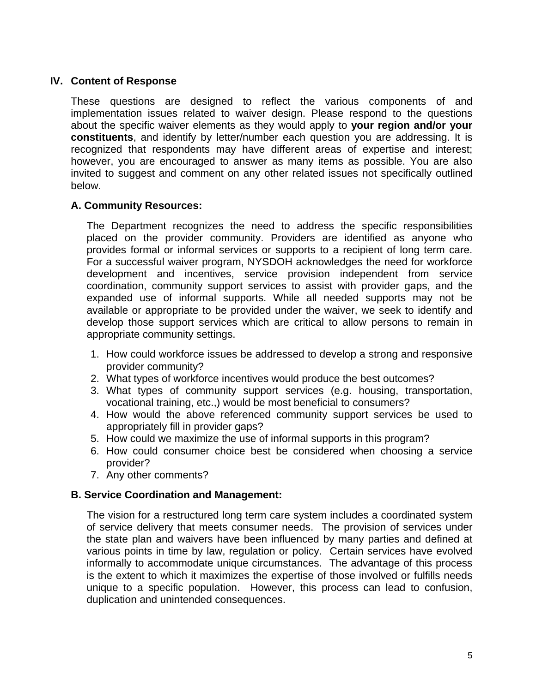## **IV. Content of Response**

These questions are designed to reflect the various components of and implementation issues related to waiver design. Please respond to the questions about the specific waiver elements as they would apply to **your region and/or your constituents**, and identify by letter/number each question you are addressing. It is recognized that respondents may have different areas of expertise and interest; however, you are encouraged to answer as many items as possible. You are also invited to suggest and comment on any other related issues not specifically outlined below.

### **A. Community Resources:**

The Department recognizes the need to address the specific responsibilities placed on the provider community. Providers are identified as anyone who provides formal or informal services or supports to a recipient of long term care. For a successful waiver program, NYSDOH acknowledges the need for workforce development and incentives, service provision independent from service coordination, community support services to assist with provider gaps, and the expanded use of informal supports. While all needed supports may not be available or appropriate to be provided under the waiver, we seek to identify and develop those support services which are critical to allow persons to remain in appropriate community settings.

- 1. How could workforce issues be addressed to develop a strong and responsive provider community?
- 2. What types of workforce incentives would produce the best outcomes?
- 3. What types of community support services (e.g. housing, transportation, vocational training, etc.,) would be most beneficial to consumers?
- 4. How would the above referenced community support services be used to appropriately fill in provider gaps?
- 5. How could we maximize the use of informal supports in this program?
- 6. How could consumer choice best be considered when choosing a service provider?
- 7. Any other comments?

### **B. Service Coordination and Management:**

The vision for a restructured long term care system includes a coordinated system of service delivery that meets consumer needs. The provision of services under the state plan and waivers have been influenced by many parties and defined at various points in time by law, regulation or policy. Certain services have evolved informally to accommodate unique circumstances. The advantage of this process is the extent to which it maximizes the expertise of those involved or fulfills needs unique to a specific population. However, this process can lead to confusion, duplication and unintended consequences.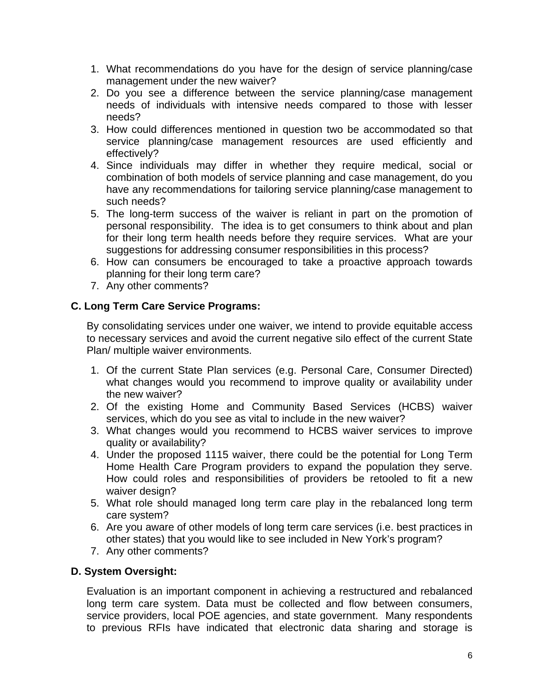- 1. What recommendations do you have for the design of service planning/case management under the new waiver?
- 2. Do you see a difference between the service planning/case management needs of individuals with intensive needs compared to those with lesser needs?
- 3. How could differences mentioned in question two be accommodated so that service planning/case management resources are used efficiently and effectively?
- 4. Since individuals may differ in whether they require medical, social or combination of both models of service planning and case management, do you have any recommendations for tailoring service planning/case management to such needs?
- 5. The long-term success of the waiver is reliant in part on the promotion of personal responsibility. The idea is to get consumers to think about and plan for their long term health needs before they require services. What are your suggestions for addressing consumer responsibilities in this process?
- 6. How can consumers be encouraged to take a proactive approach towards planning for their long term care?
- 7. Any other comments?

# **C. Long Term Care Service Programs:**

By consolidating services under one waiver, we intend to provide equitable access to necessary services and avoid the current negative silo effect of the current State Plan/ multiple waiver environments.

- 1. Of the current State Plan services (e.g. Personal Care, Consumer Directed) what changes would you recommend to improve quality or availability under the new waiver?
- 2. Of the existing Home and Community Based Services (HCBS) waiver services, which do you see as vital to include in the new waiver?
- 3. What changes would you recommend to HCBS waiver services to improve quality or availability?
- 4. Under the proposed 1115 waiver, there could be the potential for Long Term Home Health Care Program providers to expand the population they serve. How could roles and responsibilities of providers be retooled to fit a new waiver design?
- 5. What role should managed long term care play in the rebalanced long term care system?
- 6. Are you aware of other models of long term care services (i.e. best practices in other states) that you would like to see included in New York's program?
- 7. Any other comments?

# **D. System Oversight:**

Evaluation is an important component in achieving a restructured and rebalanced long term care system. Data must be collected and flow between consumers, service providers, local POE agencies, and state government. Many respondents to previous RFIs have indicated that electronic data sharing and storage is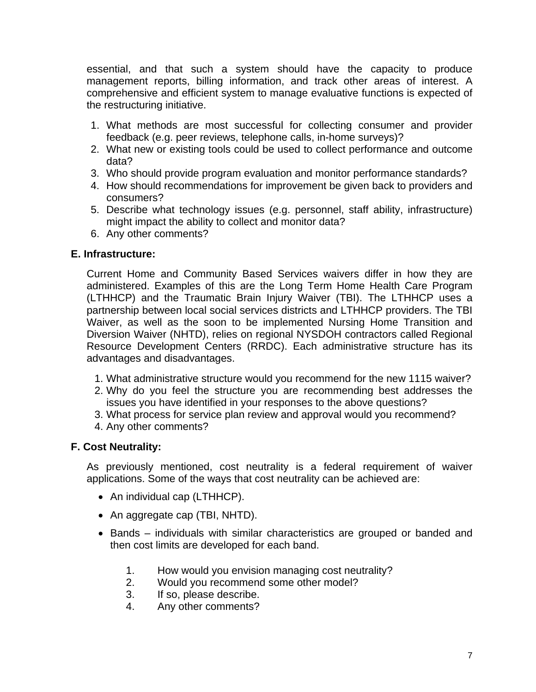essential, and that such a system should have the capacity to produce management reports, billing information, and track other areas of interest. A comprehensive and efficient system to manage evaluative functions is expected of the restructuring initiative.

- 1. What methods are most successful for collecting consumer and provider feedback (e.g. peer reviews, telephone calls, in-home surveys)?
- 2. What new or existing tools could be used to collect performance and outcome data?
- 3. Who should provide program evaluation and monitor performance standards?
- 4. How should recommendations for improvement be given back to providers and consumers?
- 5. Describe what technology issues (e.g. personnel, staff ability, infrastructure) might impact the ability to collect and monitor data?
- 6. Any other comments?

## **E. Infrastructure:**

Current Home and Community Based Services waivers differ in how they are administered. Examples of this are the Long Term Home Health Care Program (LTHHCP) and the Traumatic Brain Injury Waiver (TBI). The LTHHCP uses a partnership between local social services districts and LTHHCP providers. The TBI Waiver, as well as the soon to be implemented Nursing Home Transition and Diversion Waiver (NHTD), relies on regional NYSDOH contractors called Regional Resource Development Centers (RRDC). Each administrative structure has its advantages and disadvantages.

- 1. What administrative structure would you recommend for the new 1115 waiver?
- 2. Why do you feel the structure you are recommending best addresses the issues you have identified in your responses to the above questions?
- 3. What process for service plan review and approval would you recommend?
- 4. Any other comments?

### **F. Cost Neutrality:**

As previously mentioned, cost neutrality is a federal requirement of waiver applications. Some of the ways that cost neutrality can be achieved are:

- An individual cap (LTHHCP).
- An aggregate cap (TBI, NHTD).
- Bands individuals with similar characteristics are grouped or banded and then cost limits are developed for each band.
	- 1. How would you envision managing cost neutrality?
	- 2. Would you recommend some other model?
	- 3. If so, please describe.
	- 4. Any other comments?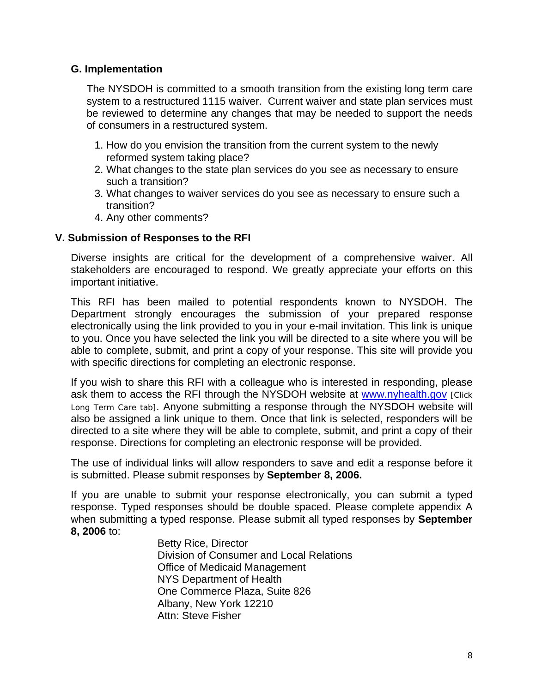## **G. Implementation**

The NYSDOH is committed to a smooth transition from the existing long term care system to a restructured 1115 waiver. Current waiver and state plan services must be reviewed to determine any changes that may be needed to support the needs of consumers in a restructured system.

- 1. How do you envision the transition from the current system to the newly reformed system taking place?
- 2. What changes to the state plan services do you see as necessary to ensure such a transition?
- 3. What changes to waiver services do you see as necessary to ensure such a transition?
- 4. Any other comments?

### **V. Submission of Responses to the RFI**

Diverse insights are critical for the development of a comprehensive waiver. All stakeholders are encouraged to respond. We greatly appreciate your efforts on this important initiative.

This RFI has been mailed to potential respondents known to NYSDOH. The Department strongly encourages the submission of your prepared response electronically using the link provided to you in your e-mail invitation. This link is unique to you. Once you have selected the link you will be directed to a site where you will be able to complete, submit, and print a copy of your response. This site will provide you with specific directions for completing an electronic response.

If you wish to share this RFI with a colleague who is interested in responding, please ask them to access the RFI through the NYSDOH website at [www.nyhealth.gov](http://www.nyhealth.gov/) [Click] Long Term Care tab]. Anyone submitting a response through the NYSDOH website will also be assigned a link unique to them. Once that link is selected, responders will be directed to a site where they will be able to complete, submit, and print a copy of their response. Directions for completing an electronic response will be provided.

The use of individual links will allow responders to save and edit a response before it is submitted. Please submit responses by **September 8, 2006.**

If you are unable to submit your response electronically, you can submit a typed response. Typed responses should be double spaced. Please complete appendix A when submitting a typed response. Please submit all typed responses by **September 8, 2006** to:

 Betty Rice, Director Division of Consumer and Local Relations Office of Medicaid Management NYS Department of Health One Commerce Plaza, Suite 826 Albany, New York 12210 Attn: Steve Fisher